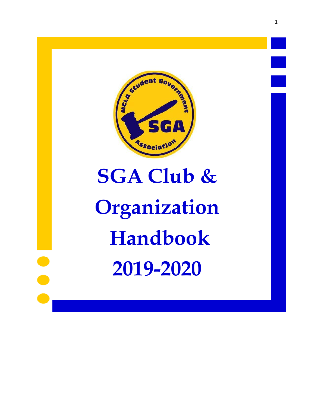

# **SGA Club & Organization Handbook 2019-2020**

 $\bullet$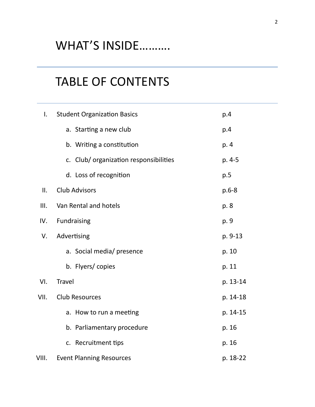# WHAT'S INSIDE……….

# TABLE OF CONTENTS

| $\mathsf{L}$ | <b>Student Organization Basics</b>     | p.4       |  |
|--------------|----------------------------------------|-----------|--|
|              | a. Starting a new club                 | p.4       |  |
|              | b. Writing a constitution              | p. 4      |  |
|              | c. Club/ organization responsibilities | p. 4-5    |  |
|              | d. Loss of recognition                 | p.5       |  |
| II.          | <b>Club Advisors</b>                   | $p.6 - 8$ |  |
| III.         | Van Rental and hotels                  | p. 8      |  |
| IV.          | <b>Fundraising</b>                     | p. 9      |  |
| V.           | Advertising                            | p. 9-13   |  |
|              | a. Social media/ presence              | p. 10     |  |
|              | b. Flyers/copies                       | p. 11     |  |
| VI.          | <b>Travel</b>                          | p. 13-14  |  |
| VII.         | <b>Club Resources</b>                  | p. 14-18  |  |
|              | a. How to run a meeting                | p. 14-15  |  |
|              | b. Parliamentary procedure             | p. 16     |  |
|              | c. Recruitment tips                    | p. 16     |  |
| VIII.        | <b>Event Planning Resources</b>        | p. 18-22  |  |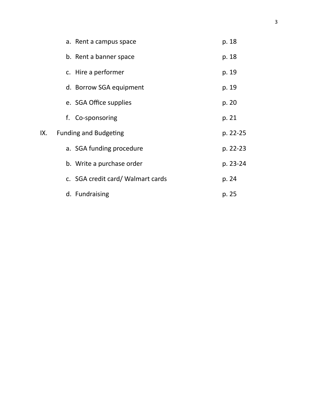|     | a. Rent a campus space            | p. 18    |
|-----|-----------------------------------|----------|
|     | b. Rent a banner space            | p. 18    |
|     | c. Hire a performer               | p. 19    |
|     | d. Borrow SGA equipment           | p. 19    |
|     | e. SGA Office supplies            | p. 20    |
|     | f. Co-sponsoring                  | p. 21    |
| IX. | <b>Funding and Budgeting</b>      | p. 22-25 |
|     | a. SGA funding procedure          | p. 22-23 |
|     | b. Write a purchase order         | p. 23-24 |
|     | c. SGA credit card/ Walmart cards | p. 24    |
|     | d. Fundraising                    | p. 25    |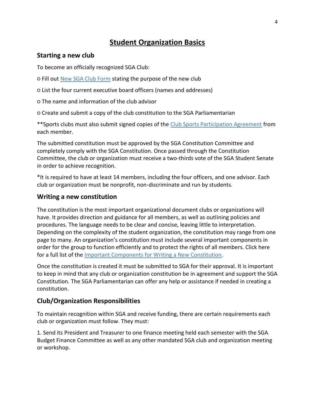# **Student Organization Basics**

#### **Starting a new club**

To become an officially recognized SGA Club:

○ Fill out [New SGA Club Form](https://www.mcla.edu/Student_Life/studentdevelopment/studentgovernment/organization-basics/index) stating the purpose of the new club

○ List the four current executive board officers (names and addresses)

○ The name and information of the club advisor

○ Create and submit a copy of the club constitution to the SGA Parliamentarian

\*\*Sports clubs must also submit signed copies of the [Club Sports Participation Agreement](https://www.mcla.edu/Student_Life/studentdevelopment/studentgovernment/organization-basics/index) from each member.

The submitted constitution must be approved by the SGA Constitution Committee and completely comply with the SGA Constitution. Once passed through the Constitution Committee, the club or organization must receive a two-thirds vote of the SGA Student Senate in order to achieve recognition.

\*It is required to have at least 14 members, including the four officers, and one advisor. Each club or organization must be nonprofit, non-discriminate and run by students.

#### **Writing a new constitution**

The constitution is the most important organizational document clubs or organizations will have. It provides direction and guidance for all members, as well as outlining policies and procedures. The language needs to be clear and concise, leaving little to interpretation. Depending on the complexity of the student organization, the constitution may range from one page to many. An organization's constitution must include several important components in order for the group to function efficiently and to protect the rights of all members. Click here for a full list of the [Important Components for Writing a New Constitution.](https://www.mcla.edu/Student_Life/studentdevelopment/studentgovernment/organization-basics/index)

Once the constitution is created it must be submitted to SGA for their approval. It is important to keep in mind that any club or organization constitution be in agreement and support the SGA Constitution. The SGA Parliamentarian can offer any help or assistance if needed in creating a constitution.

#### **Club/Organization Responsibilities**

To maintain recognition within SGA and receive funding, there are certain requirements each club or organization must follow. They must:

1. Send its President and Treasurer to one finance meeting held each semester with the SGA Budget Finance Committee as well as any other mandated SGA club and organization meeting or workshop.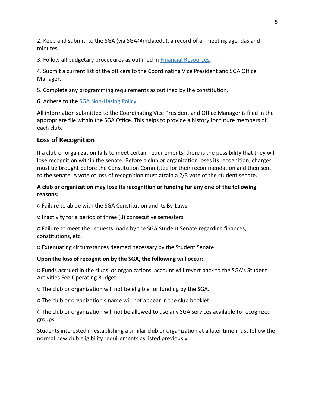2. Keep and submit, to the SGA (via SGA@mcla.edu), a record of all meeting agendas and minutes.

3. Follow all budgetary procedures as outlined in [Financial Resources.](http://www.mcla.edu/Student_Life/studentdevelopment/studentgovernment/financial-resources/index)

4. Submit a current list of the officers to the Coordinating Vice President and SGA Office Manager.

5. Complete any programming requirements as outlined by the constitution.

6. Adhere to the [SGA Non-Hazing Policy.](https://www.mcla.edu/Student_Life/studentdevelopment/studentgovernment/organization-basics/index)

All information submitted to the Coordinating Vice President and Office Manager is filed in the appropriate file within the SGA Office. This helps to provide a history for future members of each club.

#### **Loss of Recognition**

If a club or organization fails to meet certain requirements, there is the possibility that they will lose recognition within the senate. Before a club or organization loses its recognition, charges must be brought before the Constitution Committee for their recommendation and then sent to the senate. A vote of loss of recognition must attain a 2/3 vote of the student senate.

#### **A club or organization may lose its recognition or funding for any one of the following reasons:**

○ Failure to abide with the SGA Constitution and its By-Laws

○ Inactivity for a period of three (3) consecutive semesters

○ Failure to meet the requests made by the SGA Student Senate regarding finances, constitutions, etc.

○ Extenuating circumstances deemed necessary by the Student Senate

#### **Upon the loss of recognition by the SGA, the following will occur:**

○ Funds accrued in the clubs' or organizations' account will revert back to the SGA's Student Activities Fee Operating Budget.

○ The club or organization will not be eligible for funding by the SGA.

○ The club or organization's name will not appear in the club booklet.

○ The club or organization will not be allowed to use any SGA services available to recognized groups.

Students interested in establishing a similar club or organization at a later time must follow the normal new club eligibility requirements as listed previously.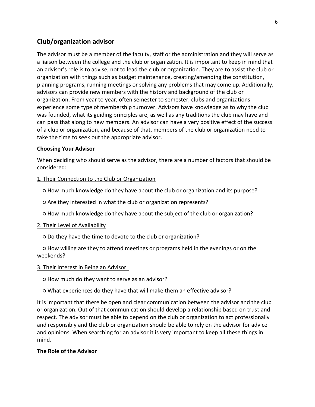# **Club/organization advisor**

The advisor must be a member of the faculty, staff or the administration and they will serve as a liaison between the college and the club or organization. It is important to keep in mind that an advisor's role is to advise, not to lead the club or organization. They are to assist the club or organization with things such as budget maintenance, creating/amending the constitution, planning programs, running meetings or solving any problems that may come up. Additionally, advisors can provide new members with the history and background of the club or organization. From year to year, often semester to semester, clubs and organizations experience some type of membership turnover. Advisors have knowledge as to why the club was founded, what its guiding principles are, as well as any traditions the club may have and can pass that along to new members. An advisor can have a very positive effect of the success of a club or organization, and because of that, members of the club or organization need to take the time to seek out the appropriate advisor.

#### **Choosing Your Advisor**

When deciding who should serve as the advisor, there are a number of factors that should be considered:

#### 1. Their Connection to the Club or Organization

○ How much knowledge do they have about the club or organization and its purpose?

○ Are they interested in what the club or organization represents?

○ How much knowledge do they have about the subject of the club or organization?

#### 2. Their Level of Availability

○ Do they have the time to devote to the club or organization?

○ How willing are they to attend meetings or programs held in the evenings or on the weekends?

#### 3. Their Interest in Being an Advisor

○ How much do they want to serve as an advisor?

○ What experiences do they have that will make them an effective advisor?

It is important that there be open and clear communication between the advisor and the club or organization. Out of that communication should develop a relationship based on trust and respect. The advisor must be able to depend on the club or organization to act professionally and responsibly and the club or organization should be able to rely on the advisor for advice and opinions. When searching for an advisor it is very important to keep all these things in mind.

#### **The Role of the Advisor**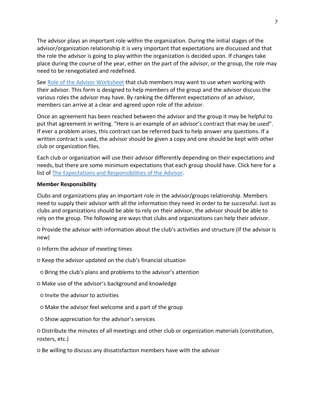The advisor plays an important role within the organization. During the initial stages of the advisor/organization relationship it is very important that expectations are discussed and that the role the advisor is going to play within the organization is decided upon. If changes take place during the course of the year, either on the part of the advisor, or the group, the role may need to be renegotiated and redefined.

See [Role of the Advisor Worksheet](https://www.mcla.edu/Student_Life/studentdevelopment/studentgovernment/organization-basics/index) that club members may want to use when working with their advisor. This form is designed to help members of the group and the advisor discuss the various roles the advisor may have. By ranking the different expectations of an advisor, members can arrive at a clear and agreed upon role of the advisor.

Once an agreement has been reached between the advisor and the group it may be helpful to put that agreement in writing. "Here is an example of an advisor's contract that may be used". If ever a problem arises, this contract can be referred back to help answer any questions. If a written contract is used, the advisor should be given a copy and one should be kept with other club or organization files.

Each club or organization will use their advisor differently depending on their expectations and needs, but there are some minimum expectations that each group should have. Click here for a list of [The Expectations and Responsibilities of the Advisor.](https://www.mcla.edu/Student_Life/studentdevelopment/studentgovernment/organization-basics/index)

#### **Member Responsibility**

Clubs and organizations play an important role in the advisor/groups relationship. Members need to supply their advisor with all the information they need in order to be successful. Just as clubs and organizations should be able to rely on their advisor, the advisor should be able to rely on the group. The following are ways that clubs and organizations can help their advisor.

○ Provide the advisor with information about the club's activities and structure (if the advisor is new)

- Inform the advisor of meeting times
- Keep the advisor updated on the club's financial situation
- Bring the club's plans and problems to the advisor's attention
- Make use of the advisor's background and knowledge
- Invite the advisor to activities
- Make the advisor feel welcome and a part of the group
- Show appreciation for the advisor's services

○ Distribute the minutes of all meetings and other club or organization materials (constitution, rosters, etc.)

○ Be willing to discuss any dissatisfaction members have with the advisor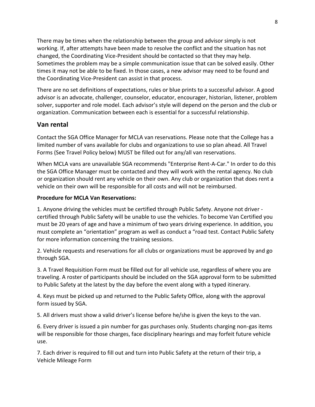There may be times when the relationship between the group and advisor simply is not working. If, after attempts have been made to resolve the conflict and the situation has not changed, the Coordinating Vice-President should be contacted so that they may help. Sometimes the problem may be a simple communication issue that can be solved easily. Other times it may not be able to be fixed. In those cases, a new advisor may need to be found and the Coordinating Vice-President can assist in that process.

There are no set definitions of expectations, rules or blue prints to a successful advisor. A good advisor is an advocate, challenger, counselor, educator, encourager, historian, listener, problem solver, supporter and role model. Each advisor's style will depend on the person and the club or organization. Communication between each is essential for a successful relationship.

# **Van rental**

Contact the SGA Office Manager for MCLA van reservations. Please note that the College has a limited number of vans available for clubs and organizations to use so plan ahead. All Travel Forms (See Travel Policy below) MUST be filled out for any/all van reservations.

When MCLA vans are unavailable SGA recommends "Enterprise Rent-A-Car." In order to do this the SGA Office Manager must be contacted and they will work with the rental agency. No club or organization should rent any vehicle on their own. Any club or organization that does rent a vehicle on their own will be responsible for all costs and will not be reimbursed.

#### **Procedure for MCLA Van Reservations:**

1. Anyone driving the vehicles must be certified through Public Safety. Anyone not driver certified through Public Safety will be unable to use the vehicles. To become Van Certified you must be 20 years of age and have a minimum of two years driving experience. In addition, you must complete an "orientation" program as well as conduct a "road test. Contact Public Safety for more information concerning the training sessions.

2. Vehicle requests and reservations for all clubs or organizations must be approved by and go through SGA.

3. A Travel Requisition Form must be filled out for all vehicle use, regardless of where you are traveling. A roster of participants should be included on the SGA approval form to be submitted to Public Safety at the latest by the day before the event along with a typed itinerary.

4. Keys must be picked up and returned to the Public Safety Office, along with the approval form issued by SGA.

5. All drivers must show a valid driver's license before he/she is given the keys to the van.

6. Every driver is issued a pin number for gas purchases only. Students charging non-gas items will be responsible for those charges, face disciplinary hearings and may forfeit future vehicle use.

7. Each driver is required to fill out and turn into Public Safety at the return of their trip, a Vehicle Mileage Form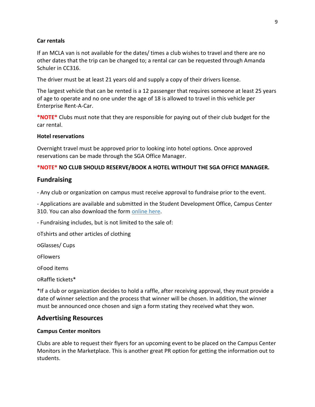#### **Car rentals**

If an MCLA van is not available for the dates/ times a club wishes to travel and there are no other dates that the trip can be changed to; a rental car can be requested through Amanda Schuler in CC316.

The driver must be at least 21 years old and supply a copy of their drivers license.

The largest vehicle that can be rented is a 12 passenger that requires someone at least 25 years of age to operate and no one under the age of 18 is allowed to travel in this vehicle per Enterprise Rent-A-Car.

**\*NOTE\*** Clubs must note that they are responsible for paying out of their club budget for the car rental.

#### **Hotel reservations**

Overnight travel must be approved prior to looking into hotel options. Once approved reservations can be made through the SGA Office Manager.

#### **\*NOTE\* NO CLUB SHOULD RESERVE/BOOK A HOTEL WITHOUT THE SGA OFFICE MANAGER.**

#### **Fundraising**

- Any club or organization on campus must receive approval to fundraise prior to the event.

- Applications are available and submitted in the Student Development Office, Campus Center 310. You can also download the form [online here.](http://www.mcla.edu/Assets/MCLA-Files/Student-Life/SGA/Forms/FUNDRAISING%20ACTIVTY%20FORM%201.23.19.pdf)

- Fundraising includes, but is not limited to the sale of:

○Tshirts and other articles of clothing

○Glasses/ Cups

○Flowers

○Food items

○Raffle tickets\*

\*If a club or organization decides to hold a raffle, after receiving approval, they must provide a date of winner selection and the process that winner will be chosen. In addition, the winner must be announced once chosen and sign a form stating they received what they won.

#### **Advertising Resources**

#### **Campus Center monitors**

Clubs are able to request their flyers for an upcoming event to be placed on the Campus Center Monitors in the Marketplace. This is another great PR option for getting the information out to students.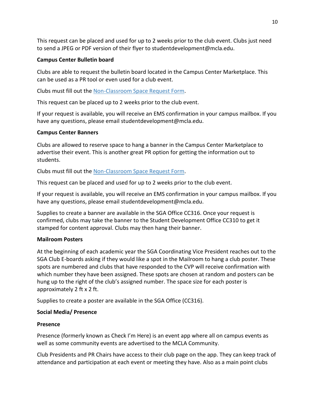This request can be placed and used for up to 2 weeks prior to the club event. Clubs just need to send a JPEG or PDF version of their flyer to studentdevelopment@mcla.edu.

#### **Campus Center Bulletin board**

Clubs are able to request the bulletin board located in the Campus Center Marketplace. This can be used as a PR tool or even used for a club event.

Clubs must fill out the [Non-Classroom Space Request Form.](https://mcla.sharepoint.com/teams/css/_layouts/15/FormServer.aspx?XsnLocation=https://mcla.sharepoint.com/teams/css/RoomRegistrationForm/Forms/template.xsn&SaveLocation=https%3A%2F%2Fmcla%2Esharepoint%2Ecom%2Fteams%2Fcss%2FRoomRegistrationForm&ClientInstalled=true&DefaultItemOpen=1&Source=https%3A%2F%2Fmcla%2Esharepoint%2Ecom%2Fteams%2Fcss%2FRoomRegistrationForm%2FForms%2FMyItems%2Easpx)

This request can be placed up to 2 weeks prior to the club event.

If your request is available, you will receive an EMS confirmation in your campus mailbox. If you have any questions, please email studentdevelopment@mcla.edu.

#### **Campus Center Banners**

Clubs are allowed to reserve space to hang a banner in the Campus Center Marketplace to advertise their event. This is another great PR option for getting the information out to students.

Clubs must fill out the [Non-Classroom Space Request Form.](https://mcla.sharepoint.com/teams/css/_layouts/15/FormServer.aspx?XsnLocation=https://mcla.sharepoint.com/teams/css/RoomRegistrationForm/Forms/template.xsn&SaveLocation=https%3A%2F%2Fmcla%2Esharepoint%2Ecom%2Fteams%2Fcss%2FRoomRegistrationForm&ClientInstalled=true&DefaultItemOpen=1&Source=https%3A%2F%2Fmcla%2Esharepoint%2Ecom%2Fteams%2Fcss%2FRoomRegistrationForm%2FForms%2FMyItems%2Easpx)

This request can be placed and used for up to 2 weeks prior to the club event.

If your request is available, you will receive an EMS confirmation in your campus mailbox. If you have any questions, please email studentdevelopment@mcla.edu.

Supplies to create a banner are available in the SGA Office CC316. Once your request is confirmed, clubs may take the banner to the Student Development Office CC310 to get it stamped for content approval. Clubs may then hang their banner.

#### **Mailroom Posters**

At the beginning of each academic year the SGA Coordinating Vice President reaches out to the SGA Club E-boards asking if they would like a spot in the Mailroom to hang a club poster. These spots are numbered and clubs that have responded to the CVP will receive confirmation with which number they have been assigned. These spots are chosen at random and posters can be hung up to the right of the club's assigned number. The space size for each poster is approximately 2 ft x 2 ft.

Supplies to create a poster are available in the SGA Office (CC316).

#### **Social Media/ Presence**

#### **Presence**

Presence (formerly known as Check I'm Here) is an event app where all on campus events as well as some community events are advertised to the MCLA Community.

Club Presidents and PR Chairs have access to their club page on the app. They can keep track of attendance and participation at each event or meeting they have. Also as a main point clubs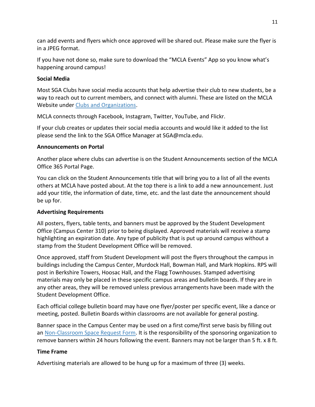can add events and flyers which once approved will be shared out. Please make sure the flyer is in a JPEG format.

If you have not done so, make sure to download the "MCLA Events" App so you know what's happening around campus!

#### **Social Media**

Most SGA Clubs have social media accounts that help advertise their club to new students, be a way to reach out to current members, and connect with alumni. These are listed on the MCLA Website under [Clubs and Organizations.](http://http/www.mcla.edu/Student_Life/studentdevelopment/clubsandorganizations/index)

MCLA connects through Facebook, Instagram, Twitter, YouTube, and Flickr.

If your club creates or updates their social media accounts and would like it added to the list please send the link to the SGA Office Manager at SGA@mcla.edu.

#### **Announcements on Portal**

Another place where clubs can advertise is on the Student Announcements section of the MCLA Office 365 Portal Page.

You can click on the Student Announcements title that will bring you to a list of all the events others at MCLA have posted about. At the top there is a link to add a new announcement. Just add your title, the information of date, time, etc. and the last date the announcement should be up for.

#### **Advertising Requirements**

All posters, flyers, table tents, and banners must be approved by the Student Development Office (Campus Center 310) prior to being displayed. Approved materials will receive a stamp highlighting an expiration date. Any type of publicity that is put up around campus without a stamp from the Student Development Office will be removed.

Once approved, staff from Student Development will post the flyers throughout the campus in buildings including the Campus Center, Murdock Hall, Bowman Hall, and Mark Hopkins. RPS will post in Berkshire Towers, Hoosac Hall, and the Flagg Townhouses. Stamped advertising materials may only be placed in these specific campus areas and bulletin boards. If they are in any other areas, they will be removed unless previous arrangements have been made with the Student Development Office.

Each official college bulletin board may have one flyer/poster per specific event, like a dance or meeting, posted. Bulletin Boards within classrooms are not available for general posting.

Banner space in the Campus Center may be used on a first come/first serve basis by filling out an [Non-Classroom Space Request Form.](https://mcla.sharepoint.com/teams/css/_layouts/15/FormServer.aspx?XsnLocation=https://mcla.sharepoint.com/teams/css/RoomRegistrationForm/Forms/template.xsn&SaveLocation=https%3A%2F%2Fmcla%2Esharepoint%2Ecom%2Fteams%2Fcss%2FRoomRegistrationForm&ClientInstalled=true&DefaultItemOpen=1&Source=https%3A%2F%2Fmcla%2Esharepoint%2Ecom%2Fteams%2Fcss%2FRoomRegistrationForm%2FForms%2FMyItems%2Easpx) It is the responsibility of the sponsoring organization to remove banners within 24 hours following the event. Banners may not be larger than 5 ft. x 8 ft.

#### **Time Frame**

Advertising materials are allowed to be hung up for a maximum of three (3) weeks.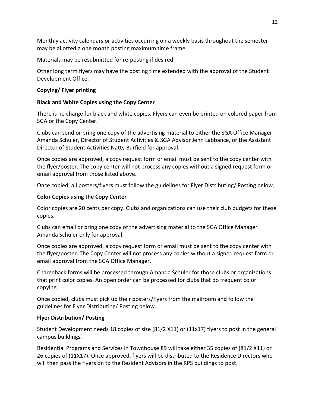Monthly activity calendars or activities occurring on a weekly basis throughout the semester may be allotted a one month posting maximum time frame.

Materials may be resubmitted for re-posting if desired.

Other long term flyers may have the posting time extended with the approval of the Student Development Office.

#### **Copying/ Flyer printing**

#### **Black and White Copies using the Copy Center**

There is no charge for black and white copies. Flyers can even be printed on colored paper from SGA or the Copy Center.

Clubs can send or bring one copy of the advertising material to either the SGA Office Manager Amanda Schuler, Director of Student Activities & SGA Advisor Jenn Labbance, or the Assistant Director of Student Activities Natty Burfield for approval.

Once copies are approved, a copy request form or email must be sent to the copy center with the flyer/poster. The copy center will not process any copies without a signed request form or email approval from those listed above.

Once copied, all posters/flyers must follow the guidelines for Flyer Distributing/ Posting below.

#### **Color Copies using the Copy Center**

Color copies are 20 cents per copy. Clubs and organizations can use their club budgets for these copies.

Clubs can email or bring one copy of the advertising material to the SGA Office Manager Amanda Schuler only for approval.

Once copies are approved, a copy request form or email must be sent to the copy center with the flyer/poster. The Copy Center will not process any copies without a signed request form or email approval from the SGA Office Manager.

Chargeback forms will be processed through Amanda Schuler for those clubs or organizations that print color copies. An open order can be processed for clubs that do frequent color copying.

Once copied, clubs must pick up their posters/flyers from the mailroom and follow the guidelines for Flyer Distributing/ Posting below.

#### **Flyer Distribution/ Posting**

Student Development needs 18 copies of size (81/2 X11) or (11x17) flyers to post in the general campus buildings.

Residential Programs and Services in Townhouse 89 will take either 35 copies of (81/2 X11) or 26 copies of (11X17). Once approved, flyers will be distributed to the Residence Directors who will then pass the flyers on to the Resident Advisors in the RPS buildings to post.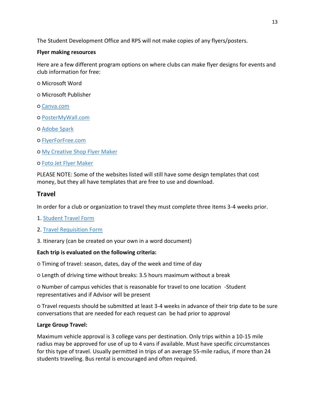The Student Development Office and RPS will not make copies of any flyers/posters.

## **Flyer making resources**

Here are a few different program options on where clubs can make flyer designs for events and club information for free:

- Microsoft Word
- Microsoft Publisher
- [Canva.com](https://www.canva.com/)
- [PosterMyWall.com](https://www.postermywall.com/)
- [Adobe Spark](https://spark.adobe.com/make/flyer-maker)
- [FlyerForFree.com](https://www.flyerforfree.com/)
- o [My Creative Shop Flyer Maker](https://www.mycreativeshop.com/create-flyer.html)
- [Foto Jet Flyer Maker](https://www.fotojet.com/features/flyer/)

PLEASE NOTE: Some of the websites listed will still have some design templates that cost money, but they all have templates that are free to use and download.

# **Travel**

In order for a club or organization to travel they must complete three items 3-4 weeks prior.

- 1. [Student Travel Form](https://www.mcla.edu/Student_Life/studentdevelopment/studentgovernment/organization-basics/index)
- 2. [Travel Requisition Form](https://www.mcla.edu/Student_Life/studentdevelopment/studentgovernment/organization-basics/index)
- 3. Itinerary (can be created on your own in a word document)

# **Each trip is evaluated on the following criteria:**

- Timing of travel: season, dates, day of the week and time of day
- Length of driving time without breaks: 3.5 hours maximum without a break

○ Number of campus vehicles that is reasonable for travel to one location -Student representatives and if Advisor will be present

○ Travel requests should be submitted at least 3-4 weeks in advance of their trip date to be sure conversations that are needed for each request can be had prior to approval

#### **Large Group Travel:**

Maximum vehicle approval is 3 college vans per destination. Only trips within a 10-15 mile radius may be approved for use of up to 4 vans if available. Must have specific circumstances for this type of travel. Usually permitted in trips of an average 55-mile radius, if more than 24 students traveling. Bus rental is encouraged and often required.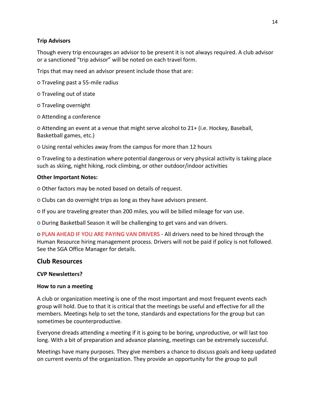#### **Trip Advisors**

Though every trip encourages an advisor to be present it is not always required. A club advisor or a sanctioned "trip advisor" will be noted on each travel form.

Trips that may need an advisor present include those that are:

- Traveling past a 55-mile radius
- Traveling out of state
- Traveling overnight
- Attending a conference

○ Attending an event at a venue that might serve alcohol to 21+ (i.e. Hockey, Baseball, Basketball games, etc.)

○ Using rental vehicles away from the campus for more than 12 hours

○ Traveling to a destination where potential dangerous or very physical activity is taking place such as skiing, night hiking, rock climbing, or other outdoor/indoor activities

#### **Other Important Notes:**

○ Other factors may be noted based on details of request.

○ Clubs can do overnight trips as long as they have advisors present.

○ If you are traveling greater than 200 miles, you will be billed mileage for van use.

○ During Basketball Season it will be challenging to get vans and van drivers.

○ PLAN AHEAD IF YOU ARE PAYING VAN DRIVERS - All drivers need to be hired through the Human Resource hiring management process. Drivers will not be paid if policy is not followed. See the SGA Office Manager for details.

# **Club Resources**

#### **CVP Newsletters?**

#### **How to run a meeting**

A club or organization meeting is one of the most important and most frequent events each group will hold. Due to that it is critical that the meetings be useful and effective for all the members. Meetings help to set the tone, standards and expectations for the group but can sometimes be counterproductive.

Everyone dreads attending a meeting if it is going to be boring, unproductive, or will last too long. With a bit of preparation and advance planning, meetings can be extremely successful.

Meetings have many purposes. They give members a chance to discuss goals and keep updated on current events of the organization. They provide an opportunity for the group to pull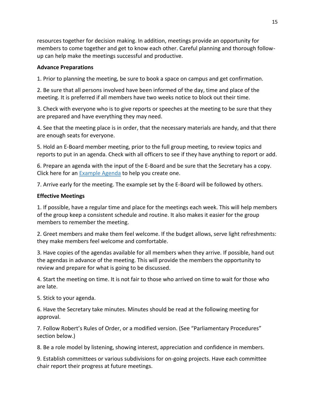resources together for decision making. In addition, meetings provide an opportunity for members to come together and get to know each other. Careful planning and thorough followup can help make the meetings successful and productive.

#### **Advance Preparations**

1. Prior to planning the meeting, be sure to book a space on campus and get confirmation.

2. Be sure that all persons involved have been informed of the day, time and place of the meeting. It is preferred if all members have two weeks notice to block out their time.

3. Check with everyone who is to give reports or speeches at the meeting to be sure that they are prepared and have everything they may need.

4. See that the meeting place is in order, that the necessary materials are handy, and that there are enough seats for everyone.

5. Hold an E-Board member meeting, prior to the full group meeting, to review topics and reports to put in an agenda. Check with all officers to see if they have anything to report or add.

6. Prepare an agenda with the input of the E-Board and be sure that the Secretary has a copy. Click here for an [Example Agenda](http://www.mcla.edu/Assets/MCLA-Files/Student-Life/SGA/Club-Resources/AgendaExample.pdf) to help you create one.

7. Arrive early for the meeting. The example set by the E-Board will be followed by others.

#### **Effective Meetings**

1. If possible, have a regular time and place for the meetings each week. This will help members of the group keep a consistent schedule and routine. It also makes it easier for the group members to remember the meeting.

2. Greet members and make them feel welcome. If the budget allows, serve light refreshments: they make members feel welcome and comfortable.

3. Have copies of the agendas available for all members when they arrive. If possible, hand out the agendas in advance of the meeting. This will provide the members the opportunity to review and prepare for what is going to be discussed.

4. Start the meeting on time. It is not fair to those who arrived on time to wait for those who are late.

5. Stick to your agenda.

6. Have the Secretary take minutes. Minutes should be read at the following meeting for approval.

7. Follow Robert's Rules of Order, or a modified version. (See "Parliamentary Procedures" section below.)

8. Be a role model by listening, showing interest, appreciation and confidence in members.

9. Establish committees or various subdivisions for on-going projects. Have each committee chair report their progress at future meetings.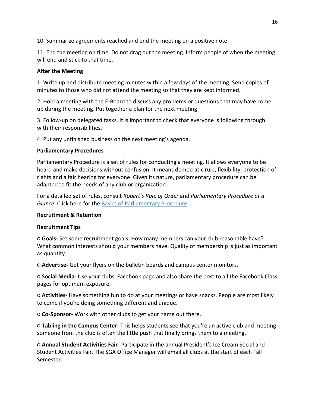10. Summarize agreements reached and end the meeting on a positive note.

11. End the meeting on time. Do not drag out the meeting. Inform people of when the meeting will end and stick to that time.

#### **After the Meeting**

1. Write up and distribute meeting minutes within a few days of the meeting. Send copies of minutes to those who did not attend the meeting so that they are kept informed.

2. Hold a meeting with the E-Board to discuss any problems or questions that may have come up during the meeting. Put together a plan for the next meeting.

3. Follow-up on delegated tasks. It is important to check that everyone is following through with their responsibilities.

4. Put any unfinished business on the next meeting's agenda.

#### **Parliamentary Procedures**

Parliamentary Procedure is a set of rules for conducting a meeting. It allows everyone to be heard and make decisions without confusion. It means democratic rule, flexibility, protection of rights and a fair hearing for everyone. Given its nature, parliamentary procedure can be adapted to fit the needs of any club or organization.

For a detailed set of rules, consult *Robert's Rule of Order* and *Parliamentary Procedure at a Glance*. Click here for the [Basics of Parliamentary Procedure](http://www.mcla.edu/Assets/MCLA-Files/Student-Life/SGA/Club-Resources/ParliamentaryProcedure.pdf)

#### **Recruitment & Retention**

#### **Recruitment Tips**

○ **Goals-** Set some recruitment goals. How many members can your club reasonable have? What common interests should your members have. Quality of membership is just as important as quantity.

○ **Advertise-** Get your flyers on the bulletin boards and campus center monitors.

○ **Social Media-** Use your clubs' Facebook page and also share the post to all the Facebook Class pages for optimum exposure.

○ **Activities-** Have something fun to do at your meetings or have snacks. People are most likely to come if you're doing something different and unique.

○ **Co-Sponsor-** Work with other clubs to get your name out there.

○ **Tabling in the Campus Center-** This helps students see that you're an active club and meeting someone from the club is often the little push that finally brings them to a meeting.

○ **Annual Student Activities Fair-** Participate in the annual President's Ice Cream Social and Student Activities Fair. The SGA Office Manager will email all clubs at the start of each Fall Semester.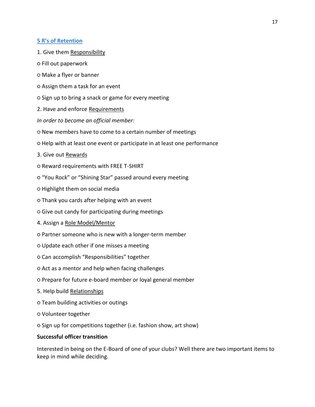#### **[5 R's of Retention](http://www.mcla.edu/Assets/MCLA-Files/Student-Life/SGA/Club-Resources/5RetentionTips.pdf)**

- 1. Give them Responsibility
- Fill out paperwork
- Make a flyer or banner
- Assign them a task for an event
- Sign up to bring a snack or game for every meeting
- 2. Have and enforce Requirements
- *In order to become an official member:*
- New members have to come to a certain number of meetings
- Help with at least one event or participate in at least one performance
- 3. Give out Rewards
- Reward requirements with FREE T-SHIRT
- "You Rock" or "Shining Star" passed around every meeting
- Highlight them on social media
- Thank you cards after helping with an event
- Give out candy for participating during meetings
- 4. Assign a Role Model/Mentor
- Partner someone who is new with a longer-term member
- Update each other if one misses a meeting
- Can accomplish "Responsibilities" together
- Act as a mentor and help when facing challenges
- Prepare for future e-board member or loyal general member
- 5. Help build Relationships
- Team building activities or outings
- Volunteer together
- Sign up for competitions together (i.e. fashion show, art show)

#### **Successful officer transition**

Interested in being on the E-Board of one of your clubs? Well there are two important items to keep in mind while deciding.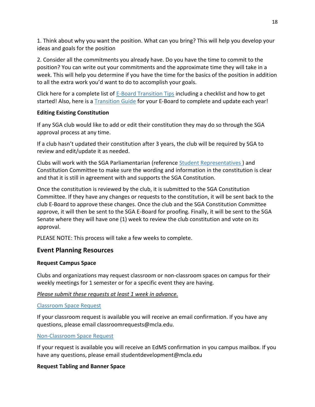1. Think about why you want the position. What can you bring? This will help you develop your ideas and goals for the position

2. Consider all the commitments you already have. Do you have the time to commit to the position? You can write out your commitments and the approximate time they will take in a week. This will help you determine if you have the time for the basics of the position in addition to all the extra work you'd want to do to accomplish your goals.

Click here for a complete list of [E-Board Transition Tips](http://www.mcla.edu/Assets/MCLA-Files/Student-Life/SGA/Club-Resources/TransitionTips.pdf) including a checklist and how to get started! Also, here is a [Transition Guide](http://www.mcla.edu/Assets/MCLA-Files/Student-Life/SGA/Club-Resources/TransitionGuide.docx) for your E-Board to complete and update each year!

#### **Editing Existing Constitution**

If any SGA club would like to add or edit their constitution they may do so through the SGA approval process at any time.

If a club hasn't updated their constitution after 3 years, the club will be required by SGA to review and edit/update it as needed.

Clubs will work with the SGA Parliamentarian (reference [Student Representatives](http://www.mcla.edu/Student_Life/studentdevelopment/studentgovernment/studentgovernmentrepresentatives/index) ) and Constitution Committee to make sure the wording and information in the constitution is clear and that it is still in agreement with and supports the SGA Constitution.

Once the constitution is reviewed by the club, it is submitted to the SGA Constitution Committee. If they have any changes or requests to the constitution, it will be sent back to the club E-Board to approve these changes. Once the club and the SGA Constitution Committee approve, it will then be sent to the SGA E-Board for proofing. Finally, it will be sent to the SGA Senate where they will have one (1) week to review the club constitution and vote on its approval.

PLEASE NOTE: This process will take a few weeks to complete.

# **Event Planning Resources**

#### **Request Campus Space**

Clubs and organizations may request classroom or non-classroom spaces on campus for their weekly meetings for 1 semester or for a specific event they are having.

#### *Please submit these requests at least 1 week in advance.*

#### [Classroom Space Request](https://mcla.sharepoint.com/teams/css/_layouts/15/FormServer.aspx?XsnLocation=https%3a//mcla.sharepoint.com/teams/css/Registrars%20Room%20Reservation%20Request/Forms/template.xsn&SaveLocation=https%3a//mcla.sharepoint.com/teams/css/Registrars%20Room%20Reservation%20Request&ClientInstalled=false&DefaultItemOpen=1&Source=https%3a//mcla.sharepoint.com/teams/css/Registrars%2520Room%2520Reservation%2520Request/forms/AllItems.aspx)

If your classroom request is available you will receive an email confirmation. If you have any questions, please email classroomrequests@mcla.edu.

#### [Non-Classroom Space Request](https://mcla.sharepoint.com/teams/css/_layouts/15/FormServer.aspx?XsnLocation=https://mcla.sharepoint.com/teams/css/RoomRegistrationForm/Forms/template.xsn&SaveLocation=https%3A%2F%2Fmcla%2Esharepoint%2Ecom%2Fteams%2Fcss%2FRoomRegistrationForm&ClientInstalled=true&DefaultItemOpen=1&Source=https%3A%2F%2Fmcla%2Esharepoint%2Ecom%2Fteams%2Fcss%2FRoomRegistrationForm%2FForms%2FMyItems%2Easpx)

If your request is available you will receive an EdMS confirmation in you campus mailbox. If you have any questions, please email studentdevelopment@mcla.edu

#### **Request Tabling and Banner Space**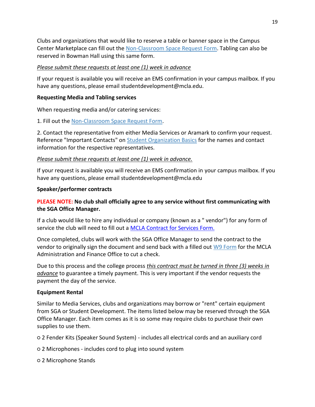Clubs and organizations that would like to reserve a table or banner space in the Campus Center Marketplace can fill out the [Non-Classroom Space Request Form.](https://mcla.sharepoint.com/teams/css/_layouts/15/FormServer.aspx?XsnLocation=https://mcla.sharepoint.com/teams/css/RoomRegistrationForm/Forms/template.xsn&SaveLocation=https%3A%2F%2Fmcla%2Esharepoint%2Ecom%2Fteams%2Fcss%2FRoomRegistrationForm&ClientInstalled=true&DefaultItemOpen=1&Source=https%3A%2F%2Fmcla%2Esharepoint%2Ecom%2Fteams%2Fcss%2FRoomRegistrationForm%2FForms%2FMyItems%2Easpx) Tabling can also be reserved in Bowman Hall using this same form.

#### *Please submit these requests at least one (1) week in advance*

If your request is available you will receive an EMS confirmation in your campus mailbox. If you have any questions, please email studentdevelopment@mcla.edu.

#### **Requesting Media and Tabling services**

When requesting media and/or catering services:

1. Fill out the [Non-Classroom Space Request Form.](https://mcla.sharepoint.com/teams/css/_layouts/15/FormServer.aspx?XsnLocation=https://mcla.sharepoint.com/teams/css/RoomRegistrationForm/Forms/template.xsn&SaveLocation=https%3A%2F%2Fmcla%2Esharepoint%2Ecom%2Fteams%2Fcss%2FRoomRegistrationForm&ClientInstalled=true&DefaultItemOpen=1&Source=https%3A%2F%2Fmcla%2Esharepoint%2Ecom%2Fteams%2Fcss%2FRoomRegistrationForm%2FForms%2FMyItems%2Easpx)

2. Contact the representative from either Media Services or Aramark to confirm your request. Reference "Important Contacts" on [Student Organization Basics](http://www.mcla.edu/Student_Life/studentdevelopment/studentgovernment/organization-basics/index) for the names and contact information for the respective representatives.

#### *Please submit these requests at least one (1) week in advance.*

If your request is available you will receive an EMS confirmation in your campus mailbox. If you have any questions, please email studentdevelopment@mcla.edu

#### **Speaker/performer contracts**

# **PLEASE NOTE: No club shall officially agree to any service without first communicating with the SGA Office Manager.**

If a club would like to hire any individual or company (known as a " vendor") for any form of service the club will need to fill out a **[MCLA Contract for Services Form.](http://www.mcla.edu/Assets/MCLA-Files/Student-Life/SGA/Forms/ContractServices.pdf)** 

Once completed, clubs will work with the SGA Office Manager to send the contract to the vendor to originally sign the document and send back with a filled out [W9 Form](http://www.mcla.edu/Assets/MCLA-Files/Student-Life/SGA/Forms/W9Form.pdf) for the MCLA Administration and Finance Office to cut a check.

Due to this process and the college process *this contract must be turned in three (3) weeks in advance* to guarantee a timely payment. This is very important if the vendor requests the payment the day of the service.

#### **Equipment Rental**

Similar to Media Services, clubs and organizations may borrow or "rent" certain equipment from SGA or Student Development. The items listed below may be reserved through the SGA Office Manager. Each item comes as it is so some may require clubs to purchase their own supplies to use them.

○ 2 Fender Kits (Speaker Sound System) - includes all electrical cords and an auxiliary cord

○ 2 Microphones - includes cord to plug into sound system

○ 2 Microphone Stands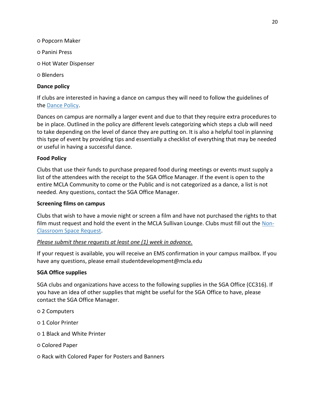- Popcorn Maker
- Panini Press
- Hot Water Dispenser
- Blenders

#### **Dance policy**

If clubs are interested in having a dance on campus they will need to follow the guidelines of the [Dance Policy.](http://www.mcla.edu/Assets/MCLA-Files/Student-Life/SGA/DancePolicy.pdf)

Dances on campus are normally a larger event and due to that they require extra procedures to be in place. Outlined in the policy are different levels categorizing which steps a club will need to take depending on the level of dance they are putting on. It is also a helpful tool in planning this type of event by providing tips and essentially a checklist of everything that may be needed or useful in having a successful dance.

#### **Food Policy**

Clubs that use their funds to purchase prepared food during meetings or events must supply a list of the attendees with the receipt to the SGA Office Manager. If the event is open to the entire MCLA Community to come or the Public and is not categorized as a dance, a list is not needed. Any questions, contact the SGA Office Manager.

#### **Screening films on campus**

Clubs that wish to have a movie night or screen a film and have not purchased the rights to that film must request and hold the event in the MCLA Sullivan Lounge. Clubs must fill out the [Non-](https://mcla.sharepoint.com/teams/css/_layouts/15/FormServer.aspx?XsnLocation=https://mcla.sharepoint.com/teams/css/RoomRegistrationForm/Forms/template.xsn&SaveLocation=https%3A%2F%2Fmcla%2Esharepoint%2Ecom%2Fteams%2Fcss%2FRoomRegistrationForm&ClientInstalled=true&DefaultItemOpen=1&Source=https%3A%2F%2Fmcla%2Esharepoint%2Ecom%2Fteams%2Fcss%2FRoomRegistrationForm%2FForms%2FMyItems%2Easpx)[Classroom Space Request.](https://mcla.sharepoint.com/teams/css/_layouts/15/FormServer.aspx?XsnLocation=https://mcla.sharepoint.com/teams/css/RoomRegistrationForm/Forms/template.xsn&SaveLocation=https%3A%2F%2Fmcla%2Esharepoint%2Ecom%2Fteams%2Fcss%2FRoomRegistrationForm&ClientInstalled=true&DefaultItemOpen=1&Source=https%3A%2F%2Fmcla%2Esharepoint%2Ecom%2Fteams%2Fcss%2FRoomRegistrationForm%2FForms%2FMyItems%2Easpx)

#### *Please submit these requests at least one (1) week in advance.*

If your request is available, you will receive an EMS confirmation in your campus mailbox. If you have any questions, please email studentdevelopment@mcla.edu

#### **SGA Office supplies**

SGA clubs and organizations have access to the following supplies in the SGA Office (CC316). If you have an idea of other supplies that might be useful for the SGA Office to have, please contact the SGA Office Manager.

- 2 Computers
- 1 Color Printer
- 1 Black and White Printer
- Colored Paper
- Rack with Colored Paper for Posters and Banners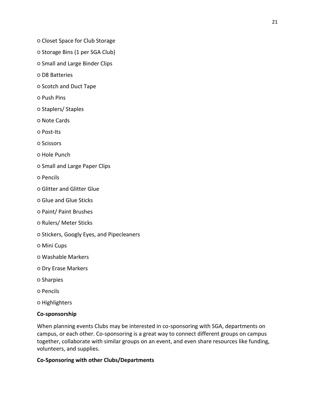- Closet Space for Club Storage
- Storage Bins (1 per SGA Club)
- Small and Large Binder Clips
- D8 Batteries
- Scotch and Duct Tape
- Push Pins
- Staplers/ Staples
- Note Cards
- Post-Its
- Scissors
- Hole Punch
- Small and Large Paper Clips
- Pencils
- Glitter and Glitter Glue
- Glue and Glue Sticks
- Paint/ Paint Brushes
- Rulers/ Meter Sticks
- Stickers, Googly Eyes, and Pipecleaners
- Mini Cups
- Washable Markers
- Dry Erase Markers
- Sharpies
- Pencils
- Highlighters

#### **Co-sponsorship**

When planning events Clubs may be interested in co-sponsoring with SGA, departments on campus, or each other. Co-sponsoring is a great way to connect different groups on campus together, collaborate with similar groups on an event, and even share resources like funding, volunteers, and supplies.

#### **Co-Sponsoring with other Clubs/Departments**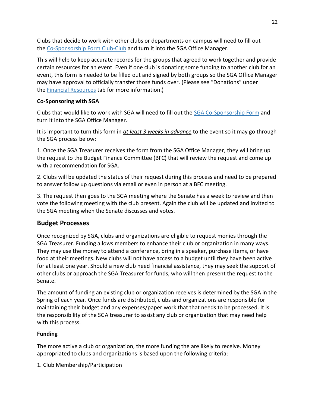Clubs that decide to work with other clubs or departments on campus will need to fill out the [Co-Sponsorship Form Club-Club](http://www.mcla.edu/Assets/MCLA-Files/Student-Life/SGA/Forms/Club-CoSponsorship.docx) and turn it into the SGA Office Manager.

This will help to keep accurate records for the groups that agreed to work together and provide certain resources for an event. Even if one club is donating some funding to another club for an event, this form is needed to be filled out and signed by both groups so the SGA Office Manager may have approval to officially transfer those funds over. (Please see "Donations" under the [Financial Resources](http://www.mcla.edu/Student_Life/studentdevelopment/studentgovernment/financial-resources/index) tab for more information.)

## **Co-Sponsoring with SGA**

Clubs that would like to work with SGA will need to fill out the [SGA Co-Sponsorship Form](http://www.mcla.edu/Assets/MCLA-Files/Student-Life/SGA/Forms/SGA-CoSponsorship.docx) and turn it into the SGA Office Manager.

It is important to turn this form in *at least 3 weeks in advance* to the event so it may go through the SGA process below:

1. Once the SGA Treasurer receives the form from the SGA Office Manager, they will bring up the request to the Budget Finance Committee (BFC) that will review the request and come up with a recommendation for SGA.

2. Clubs will be updated the status of their request during this process and need to be prepared to answer follow up questions via email or even in person at a BFC meeting.

3. The request then goes to the SGA meeting where the Senate has a week to review and then vote the following meeting with the club present. Again the club will be updated and invited to the SGA meeting when the Senate discusses and votes.

# **Budget Processes**

Once recognized by SGA, clubs and organizations are eligible to request monies through the SGA Treasurer. Funding allows members to enhance their club or organization in many ways. They may use the money to attend a conference, bring in a speaker, purchase items, or have food at their meetings. New clubs will not have access to a budget until they have been active for at least one year. Should a new club need financial assistance, they may seek the support of other clubs or approach the SGA Treasurer for funds, who will then present the request to the Senate.

The amount of funding an existing club or organization receives is determined by the SGA in the Spring of each year. Once funds are distributed, clubs and organizations are responsible for maintaining their budget and any expenses/paper work that that needs to be processed. It is the responsibility of the SGA treasurer to assist any club or organization that may need help with this process.

# **Funding**

The more active a club or organization, the more funding the are likely to receive. Money appropriated to clubs and organizations is based upon the following criteria:

1. Club Membership/Participation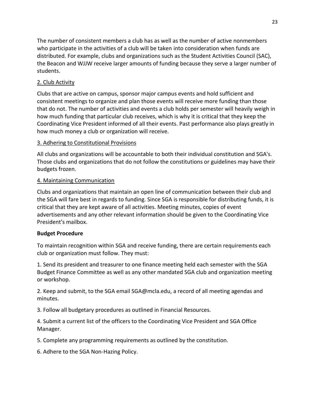The number of consistent members a club has as well as the number of active nonmembers who participate in the activities of a club will be taken into consideration when funds are distributed. For example, clubs and organizations such as the Student Activities Council (SAC), the Beacon and WJJW receive larger amounts of funding because they serve a larger number of students.

#### 2. Club Activity

Clubs that are active on campus, sponsor major campus events and hold sufficient and consistent meetings to organize and plan those events will receive more funding than those that do not. The number of activities and events a club holds per semester will heavily weigh in how much funding that particular club receives, which is why it is critical that they keep the Coordinating Vice President informed of all their events. Past performance also plays greatly in how much money a club or organization will receive.

# 3. Adhering to Constitutional Provisions

All clubs and organizations will be accountable to both their individual constitution and SGA's. Those clubs and organizations that do not follow the constitutions or guidelines may have their budgets frozen.

# 4. Maintaining Communication

Clubs and organizations that maintain an open line of communication between their club and the SGA will fare best in regards to funding. Since SGA is responsible for distributing funds, it is critical that they are kept aware of all activities. Meeting minutes, copies of event advertisements and any other relevant information should be given to the Coordinating Vice President's mailbox.

#### **Budget Procedure**

To maintain recognition within SGA and receive funding, there are certain requirements each club or organization must follow. They must:

1. Send its president and treasurer to one finance meeting held each semester with the SGA Budget Finance Committee as well as any other mandated SGA club and organization meeting or workshop.

2. Keep and submit, to the SGA email SGA@mcla.edu, a record of all meeting agendas and minutes.

3. Follow all budgetary procedures as outlined in Financial Resources.

4. Submit a current list of the officers to the Coordinating Vice President and SGA Office Manager.

5. Complete any programming requirements as outlined by the constitution.

6. Adhere to the SGA Non-Hazing Policy.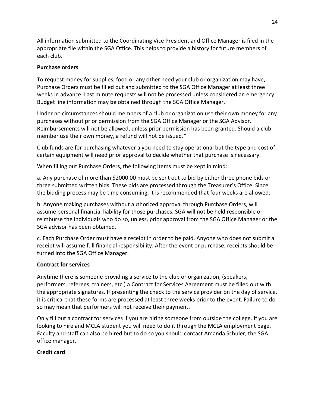All information submitted to the Coordinating Vice President and Office Manager is filed in the appropriate file within the SGA Office. This helps to provide a history for future members of each club.

#### **Purchase orders**

To request money for supplies, food or any other need your club or organization may have, Purchase Orders must be filled out and submitted to the SGA Office Manager at least three weeks in advance. Last minute requests will not be processed unless considered an emergency. Budget line information may be obtained through the SGA Office Manager.

Under no circumstances should members of a club or organization use their own money for any purchases without prior permission from the SGA Office Manager or the SGA Advisor. Reimbursements will not be allowed, unless prior permission has been granted. Should a club member use their own money, a refund will not be issued.\*

Club funds are for purchasing whatever a you need to stay operational but the type and cost of certain equipment will need prior approval to decide whether that purchase is necessary.

When filling out Purchase Orders, the following items must be kept in mind:

a. Any purchase of more than \$2000.00 must be sent out to bid by either three phone bids or three submitted written bids. These bids are processed through the Treasurer's Office. Since the bidding process may be time consuming, it is recommended that four weeks are allowed.

b. Anyone making purchases without authorized approval through Purchase Orders, will assume personal financial liability for those purchases. SGA will not be held responsible or reimburse the individuals who do so, unless, prior approval from the SGA Office Manager or the SGA advisor has been obtained.

c. Each Purchase Order must have a receipt in order to be paid. Anyone who does not submit a receipt will assume full financial responsibility. After the event or purchase, receipts should be turned into the SGA Office Manager.

#### **Contract for services**

Anytime there is someone providing a service to the club or organization, (speakers, performers, referees, trainers, etc.) a Contract for Services Agreement must be filled out with the appropriate signatures. If presenting the check to the service provider on the day of service, it is critical that these forms are processed at least three weeks prior to the event. Failure to do so may mean that performers will not receive their payment.

Only fill out a contract for services if you are hiring someone from outside the college. If you are looking to hire and MCLA student you will need to do it through the MCLA employment page. Faculty and staff can also be hired but to do so you should contact Amanda Schuler, the SGA office manager.

#### **Credit card**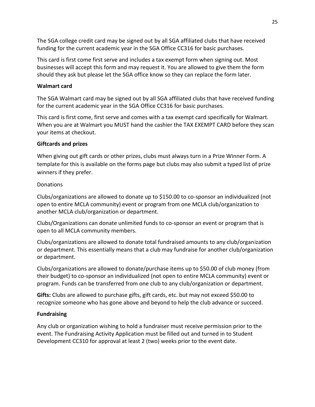The SGA college credit card may be signed out by all SGA affiliated clubs that have received funding for the current academic year in the SGA Office CC316 for basic purchases.

This card is first come first serve and includes a tax exempt form when signing out. Most businesses will accept this form and may request it. You are allowed to give them the form should they ask but please let the SGA office know so they can replace the form later.

#### **Walmart card**

The SGA Walmart card may be signed out by all SGA affiliated clubs that have received funding for the current academic year in the SGA Office CC316 for basic purchases.

This card is first come, first serve and comes with a tax exempt card specifically for Walmart. When you are at Walmart you MUST hand the cashier the TAX EXEMPT CARD before they scan your items at checkout.

#### **Giftcards and prizes**

When giving out gift cards or other prizes, clubs must always turn in a Prize Winner Form. A template for this is available on the forms page but clubs may also submit a typed list of prize winners if they prefer.

#### **Donations**

Clubs/organizations are allowed to donate up to \$150.00 to co-sponsor an individualized (not open to entire MCLA community) event or program from one MCLA club/organization to another MCLA club/organization or department.

Clubs/Organizations can donate unlimited funds to co-sponsor an event or program that is open to all MCLA community members.

Clubs/organizations are allowed to donate total fundraised amounts to any club/organization or department. This essentially means that a club may fundraise for another club/organization or department.

Clubs/organizations are allowed to donate/purchase items up to \$50.00 of club money (from their budget) to co-sponsor an individualized (not open to entire MCLA community) event or program. Funds can be transferred from one club to any club/organization or department.

**Gifts:** Clubs are allowed to purchase gifts, gift cards, etc. but may not exceed \$50.00 to recognize someone who has gone above and beyond to help the club advance or succeed.

#### **Fundraising**

Any club or organization wishing to hold a fundraiser must receive permission prior to the event. The Fundraising Activity Application must be filled out and turned in to Student Development CC310 for approval at least 2 (two) weeks prior to the event date.